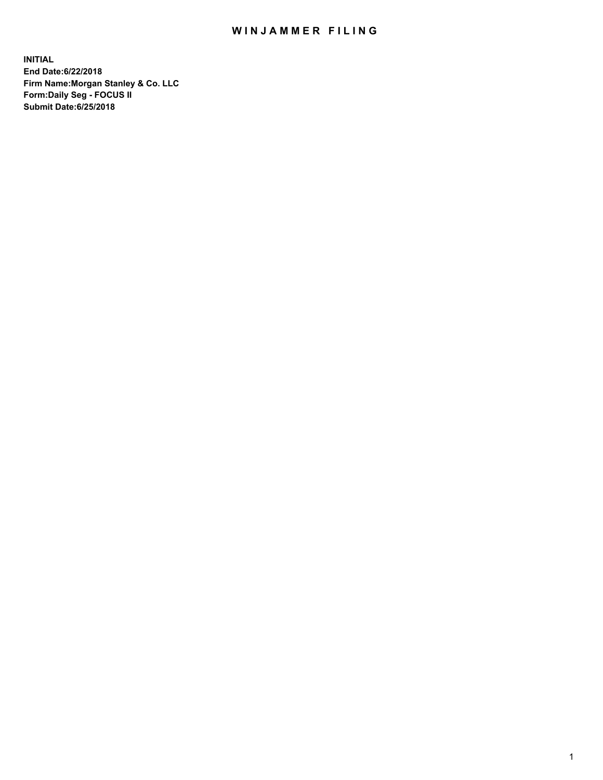## WIN JAMMER FILING

**INITIAL End Date:6/22/2018 Firm Name:Morgan Stanley & Co. LLC Form:Daily Seg - FOCUS II Submit Date:6/25/2018**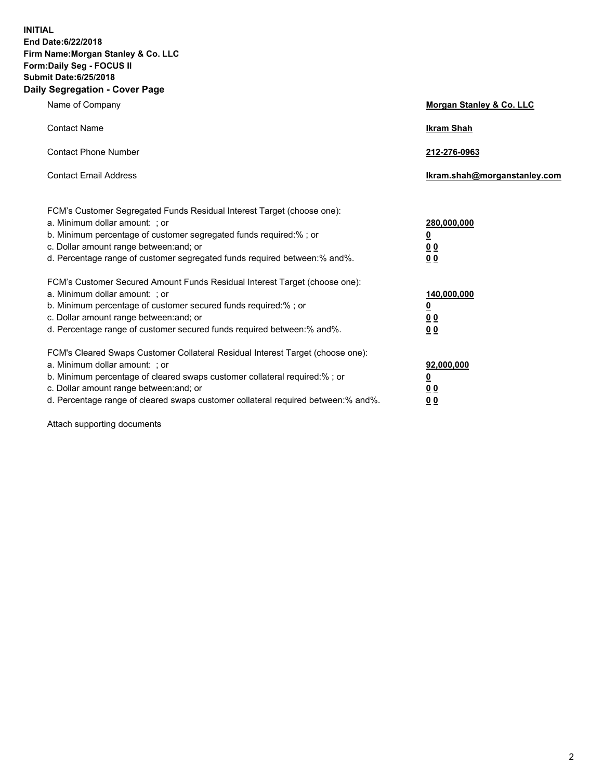**INITIAL End Date:6/22/2018 Firm Name:Morgan Stanley & Co. LLC Form:Daily Seg - FOCUS II Submit Date:6/25/2018 Daily Segregation - Cover Page**

| Name of Company                                                                                                                                                                                                                                                                                                                | Morgan Stanley & Co. LLC                               |
|--------------------------------------------------------------------------------------------------------------------------------------------------------------------------------------------------------------------------------------------------------------------------------------------------------------------------------|--------------------------------------------------------|
| <b>Contact Name</b>                                                                                                                                                                                                                                                                                                            | <b>Ikram Shah</b>                                      |
| <b>Contact Phone Number</b>                                                                                                                                                                                                                                                                                                    | 212-276-0963                                           |
| <b>Contact Email Address</b>                                                                                                                                                                                                                                                                                                   | lkram.shah@morganstanley.com                           |
| FCM's Customer Segregated Funds Residual Interest Target (choose one):<br>a. Minimum dollar amount: ; or<br>b. Minimum percentage of customer segregated funds required:% ; or<br>c. Dollar amount range between: and; or<br>d. Percentage range of customer segregated funds required between:% and%.                         | 280,000,000<br><u>0</u><br><u>0 0</u><br>0 Q           |
| FCM's Customer Secured Amount Funds Residual Interest Target (choose one):<br>a. Minimum dollar amount: ; or<br>b. Minimum percentage of customer secured funds required:%; or<br>c. Dollar amount range between: and; or<br>d. Percentage range of customer secured funds required between:% and%.                            | 140,000,000<br><u>0</u><br><u>00</u><br>0 <sub>0</sub> |
| FCM's Cleared Swaps Customer Collateral Residual Interest Target (choose one):<br>a. Minimum dollar amount: ; or<br>b. Minimum percentage of cleared swaps customer collateral required:% ; or<br>c. Dollar amount range between: and; or<br>d. Percentage range of cleared swaps customer collateral required between:% and%. | 92,000,000<br><u>0</u><br><u>00</u><br>0 <sup>0</sup>  |

Attach supporting documents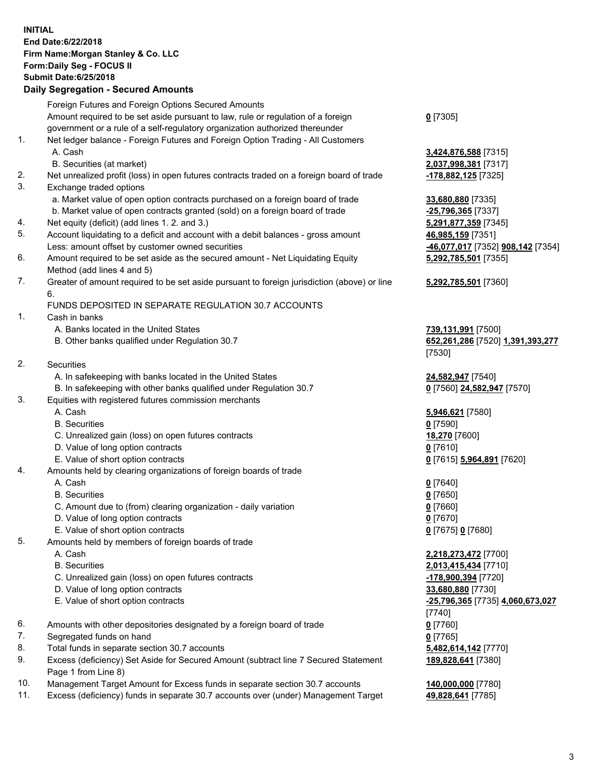## **INITIAL End Date:6/22/2018 Firm Name:Morgan Stanley & Co. LLC Form:Daily Seg - FOCUS II Submit Date:6/25/2018 Daily Segregation - Secured Amounts**

Foreign Futures and Foreign Options Secured Amounts Amount required to be set aside pursuant to law, rule or regulation of a foreign government or a rule of a self-regulatory organization authorized thereunder **0** [7305] 1. Net ledger balance - Foreign Futures and Foreign Option Trading - All Customers A. Cash **3,424,876,588** [7315] B. Securities (at market) **2,037,998,381** [7317] 2. Net unrealized profit (loss) in open futures contracts traded on a foreign board of trade **-178,882,125** [7325] 3. Exchange traded options a. Market value of open option contracts purchased on a foreign board of trade **33,680,880** [7335] b. Market value of open contracts granted (sold) on a foreign board of trade **-25,796,365** [7337] 4. Net equity (deficit) (add lines 1. 2. and 3.) **5,291,877,359** [7345] 5. Account liquidating to a deficit and account with a debit balances - gross amount **46,985,159** [7351] Less: amount offset by customer owned securities **-46,077,017** [7352] **908,142** [7354] 6. Amount required to be set aside as the secured amount - Net Liquidating Equity Method (add lines 4 and 5) **5,292,785,501** [7355] 7. Greater of amount required to be set aside pursuant to foreign jurisdiction (above) or line 6. **5,292,785,501** [7360] FUNDS DEPOSITED IN SEPARATE REGULATION 30.7 ACCOUNTS 1. Cash in banks A. Banks located in the United States **739,131,991** [7500] B. Other banks qualified under Regulation 30.7 **652,261,286** [7520] **1,391,393,277** [7530] 2. Securities A. In safekeeping with banks located in the United States **24,582,947** [7540] B. In safekeeping with other banks qualified under Regulation 30.7 **0** [7560] **24,582,947** [7570] 3. Equities with registered futures commission merchants A. Cash **5,946,621** [7580] B. Securities **0** [7590] C. Unrealized gain (loss) on open futures contracts **18,270** [7600] D. Value of long option contracts **0** [7610] E. Value of short option contracts **0** [7615] **5,964,891** [7620] 4. Amounts held by clearing organizations of foreign boards of trade A. Cash **0** [7640] B. Securities **0** [7650] C. Amount due to (from) clearing organization - daily variation **0** [7660] D. Value of long option contracts **0** [7670] E. Value of short option contracts **0** [7675] **0** [7680] 5. Amounts held by members of foreign boards of trade A. Cash **2,218,273,472** [7700] B. Securities **2,013,415,434** [7710] C. Unrealized gain (loss) on open futures contracts **-178,900,394** [7720] D. Value of long option contracts **33,680,880** [7730] E. Value of short option contracts **-25,796,365** [7735] **4,060,673,027** [7740] 6. Amounts with other depositories designated by a foreign board of trade **0** [7760] 7. Segregated funds on hand **0** [7765] 8. Total funds in separate section 30.7 accounts **5,482,614,142** [7770] 9. Excess (deficiency) Set Aside for Secured Amount (subtract line 7 Secured Statement Page 1 from Line 8) **189,828,641** [7380]

- 10. Management Target Amount for Excess funds in separate section 30.7 accounts **140,000,000** [7780]
- 11. Excess (deficiency) funds in separate 30.7 accounts over (under) Management Target **49,828,641** [7785]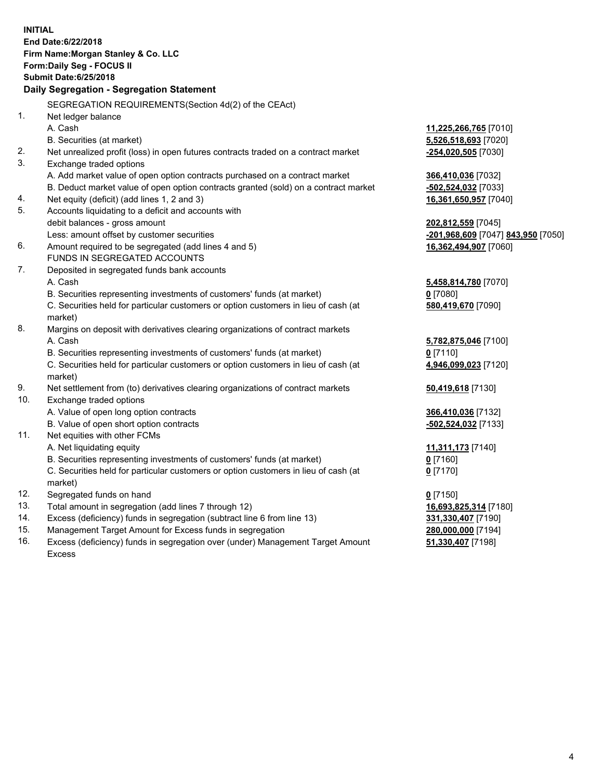**INITIAL End Date:6/22/2018 Firm Name:Morgan Stanley & Co. LLC Form:Daily Seg - FOCUS II Submit Date:6/25/2018 Daily Segregation - Segregation Statement** SEGREGATION REQUIREMENTS(Section 4d(2) of the CEAct) 1. Net ledger balance A. Cash **11,225,266,765** [7010] B. Securities (at market) **5,526,518,693** [7020] 2. Net unrealized profit (loss) in open futures contracts traded on a contract market **-254,020,505** [7030] 3. Exchange traded options A. Add market value of open option contracts purchased on a contract market **366,410,036** [7032] B. Deduct market value of open option contracts granted (sold) on a contract market **-502,524,032** [7033] 4. Net equity (deficit) (add lines 1, 2 and 3) **16,361,650,957** [7040] 5. Accounts liquidating to a deficit and accounts with debit balances - gross amount **202,812,559** [7045] Less: amount offset by customer securities **-201,968,609** [7047] **843,950** [7050] 6. Amount required to be segregated (add lines 4 and 5) **16,362,494,907** [7060] FUNDS IN SEGREGATED ACCOUNTS 7. Deposited in segregated funds bank accounts A. Cash **5,458,814,780** [7070] B. Securities representing investments of customers' funds (at market) **0** [7080] C. Securities held for particular customers or option customers in lieu of cash (at market) **580,419,670** [7090] 8. Margins on deposit with derivatives clearing organizations of contract markets A. Cash **5,782,875,046** [7100] B. Securities representing investments of customers' funds (at market) **0** [7110] C. Securities held for particular customers or option customers in lieu of cash (at market) **4,946,099,023** [7120] 9. Net settlement from (to) derivatives clearing organizations of contract markets **50,419,618** [7130] 10. Exchange traded options A. Value of open long option contracts **366,410,036** [7132] B. Value of open short option contracts **-502,524,032** [7133] 11. Net equities with other FCMs A. Net liquidating equity **11,311,173** [7140] B. Securities representing investments of customers' funds (at market) **0** [7160] C. Securities held for particular customers or option customers in lieu of cash (at market) **0** [7170] 12. Segregated funds on hand **0** [7150] 13. Total amount in segregation (add lines 7 through 12) **16,693,825,314** [7180] 14. Excess (deficiency) funds in segregation (subtract line 6 from line 13) **331,330,407** [7190] 15. Management Target Amount for Excess funds in segregation **280,000,000** [7194] 16. Excess (deficiency) funds in segregation over (under) Management Target Amount **51,330,407** [7198]

Excess